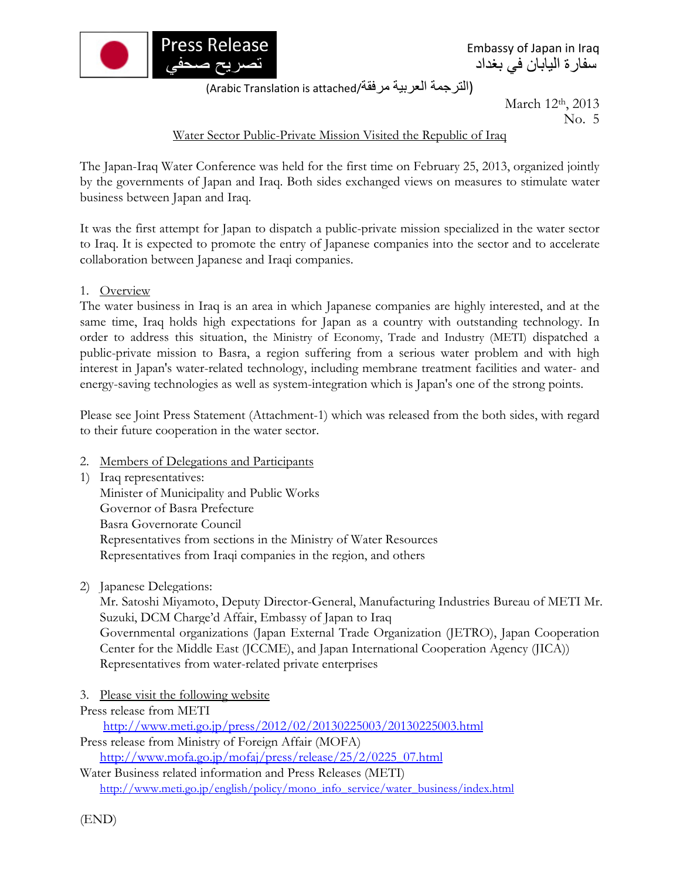

Embassy of Japan in Iraq سفارة اليابان في بغداد

(Arabic Translation is attached/مرفقة العربية الترجمة(

March 12<sup>th</sup>, 2013 No. 5

## Water Sector Public-Private Mission Visited the Republic of Iraq

The Japan-Iraq Water Conference was held for the first time on February 25, 2013, organized jointly by the governments of Japan and Iraq. Both sides exchanged views on measures to stimulate water business between Japan and Iraq.

It was the first attempt for Japan to dispatch a public-private mission specialized in the water sector to Iraq. It is expected to promote the entry of Japanese companies into the sector and to accelerate collaboration between Japanese and Iraqi companies.

1. Overview

The water business in Iraq is an area in which Japanese companies are highly interested, and at the same time, Iraq holds high expectations for Japan as a country with outstanding technology. In order to address this situation, the Ministry of Economy, Trade and Industry (METI) dispatched a public-private mission to Basra, a region suffering from a serious water problem and with high interest in Japan's water-related technology, including membrane treatment facilities and water- and energy-saving technologies as well as system-integration which is Japan's one of the strong points.

Please see Joint Press Statement (Attachment-1) which was released from the both sides, with regard to their future cooperation in the water sector.

- 2. Members of Delegations and Participants
- 1) Iraq representatives: Minister of Municipality and Public Works Governor of Basra Prefecture Basra Governorate Council Representatives from sections in the Ministry of Water Resources Representatives from Iraqi companies in the region, and others
- 2) Japanese Delegations:

Mr. Satoshi Miyamoto, Deputy Director-General, Manufacturing Industries Bureau of METI Mr. Suzuki, DCM Charge'd Affair, Embassy of Japan to Iraq Governmental organizations (Japan External Trade Organization (JETRO), Japan Cooperation Center for the Middle East (JCCME), and Japan International Cooperation Agency (JICA)) Representatives from water-related private enterprises

- 3. Please visit the following website
- Press release from METI

http://www.meti.go.jp/press/2012/02/20130225003/20130225003.html Press release from Ministry of Foreign Affair (MOFA) http://www.mofa.go.jp/mofaj/press/release/25/2/0225\_07.html

Water Business related information and Press Releases (METI) http://www.meti.go.jp/english/policy/mono\_info\_service/water\_business/index.html

(END)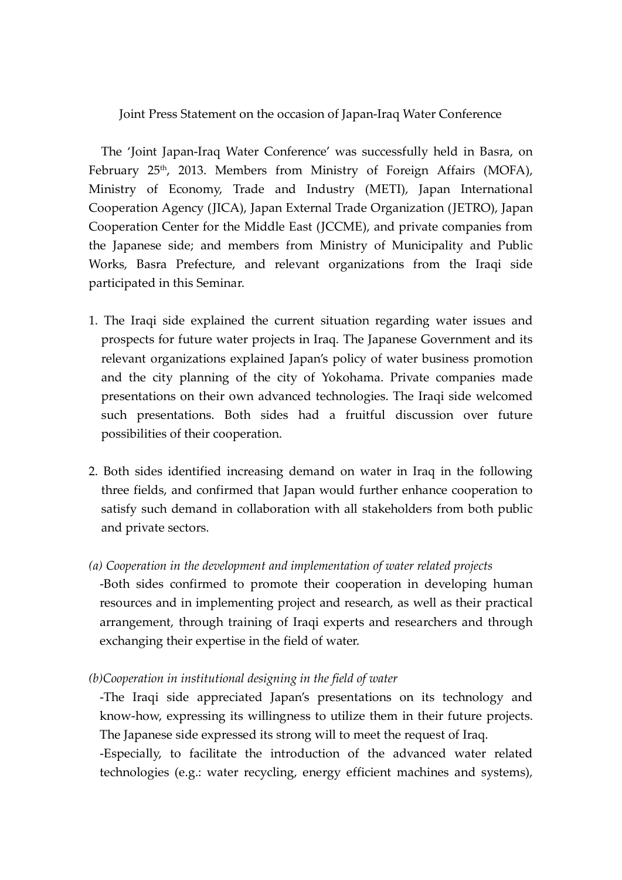Joint Press Statement on the occasion of Japan-Iraq Water Conference

The 'Joint Japan-Iraq Water Conference' was successfully held in Basra, on February 25<sup>th</sup>, 2013. Members from Ministry of Foreign Affairs (MOFA), Ministry of Economy, Trade and Industry (METI), Japan International Cooperation Agency (JICA), Japan External Trade Organization (JETRO), Japan Cooperation Center for the Middle East (JCCME), and private companies from the Japanese side; and members from Ministry of Municipality and Public Works, Basra Prefecture, and relevant organizations from the Iraqi side participated in this Seminar.

- 1. The Iraqi side explained the current situation regarding water issues and prospects for future water projects in Iraq. The Japanese Government and its relevant organizations explained Japan's policy of water business promotion and the city planning of the city of Yokohama. Private companies made presentations on their own advanced technologies. The Iraqi side welcomed such presentations. Both sides had a fruitful discussion over future possibilities of their cooperation.
- 2. Both sides identified increasing demand on water in Iraq in the following three fields, and confirmed that Japan would further enhance cooperation to satisfy such demand in collaboration with all stakeholders from both public and private sectors.
- *(a) Cooperation in the development and implementation of water related projects* -Both sides confirmed to promote their cooperation in developing human resources and in implementing project and research, as well as their practical arrangement, through training of Iraqi experts and researchers and through exchanging their expertise in the field of water.
- *(b)Cooperation in institutional designing in the field of water*

-The Iraqi side appreciated Japan's presentations on its technology and know-how, expressing its willingness to utilize them in their future projects. The Japanese side expressed its strong will to meet the request of Iraq.

-Especially, to facilitate the introduction of the advanced water related technologies (e.g.: water recycling, energy efficient machines and systems),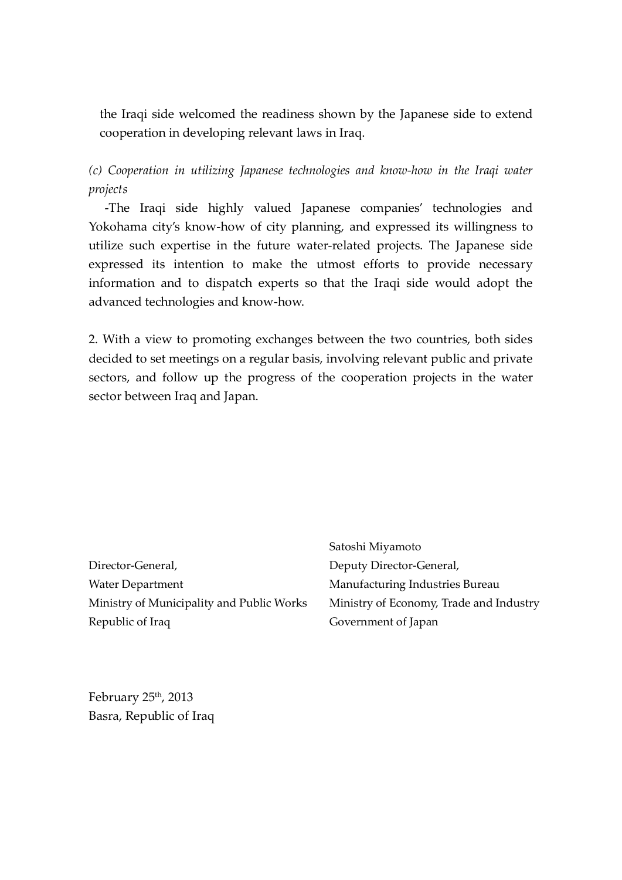the Iraqi side welcomed the readiness shown by the Japanese side to extend cooperation in developing relevant laws in Iraq.

*(c) Cooperation in utilizing Japanese technologies and know-how in the Iraqi water projects*

-The Iraqi side highly valued Japanese companies' technologies and Yokohama city's know-how of city planning, and expressed its willingness to utilize such expertise in the future water-related projects. The Japanese side expressed its intention to make the utmost efforts to provide necessary information and to dispatch experts so that the Iraqi side would adopt the advanced technologies and know-how.

2. With a view to promoting exchanges between the two countries, both sides decided to set meetings on a regular basis, involving relevant public and private sectors, and follow up the progress of the cooperation projects in the water sector between Iraq and Japan.

Director-General, Water Department Ministry of Municipality and Public Works Republic of Iraq

Satoshi Miyamoto Deputy Director-General, Manufacturing Industries Bureau Ministry of Economy, Trade and Industry Government of Japan

February 25th, 2013 Basra, Republic of Iraq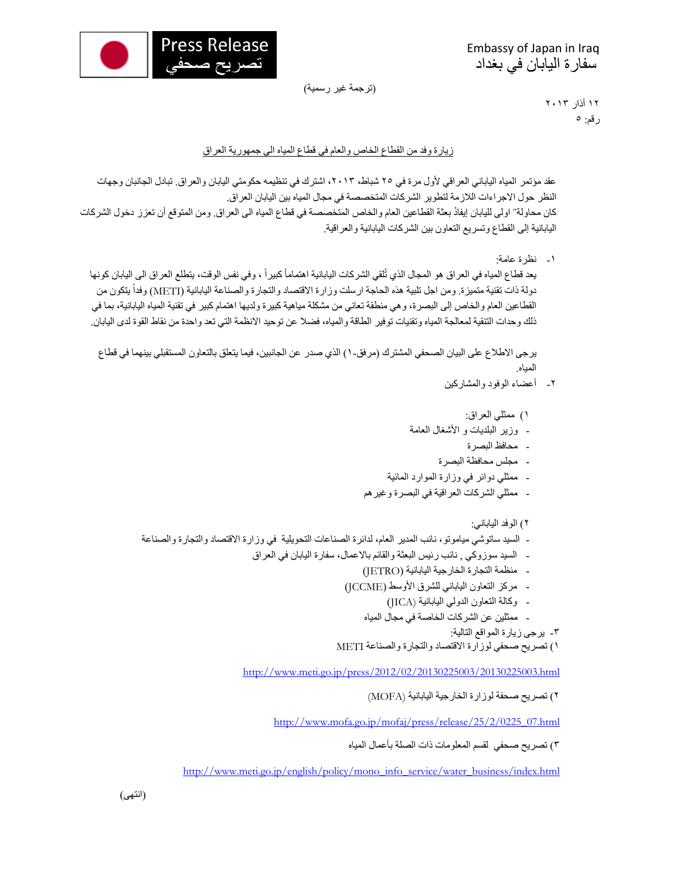

Embassy of Japan in Iraq سفارة اليابان في بغداد

(ترجمة غير رسمية)

١٢ أذار ٢٠١٣ رقم: ٥

## زيارة وفد من القطاع الخاص والعام في قطاع المياه الى جمھورية العراق

عقد مؤتمر المياه الياباني العراقي لأول مرة في ٢٥ شباط، ٢٠١٣، اشترك في تنظيمه حكومتي اليابان والعراق. تبادل الجانبان وجهات النظر حول االجراءات الالزمة لتطوير الشركات المتخصصة في مجال المياه بين اليابان العراق. كان محاولة˝ اولى لليابان ُ إيفاد بعثة القطاعين العام والخاص المتخصصة في قطاع المياه الى العراق. ومن المتوقع أن تعزز دخول الشركات اليابانية إلى القطاع وتسريع التعاون بين الشركات اليابانية والعراقية.

-١ نظرة عامة:

يعد قطاع المياه في العراق هو المجال الذي تُلقي الشركات اليابانية اهتماماً كبيراً ، وفي نفس الوقت، يتطلع العراق الى اليابان كونها دولة ذات تقنية متميزة. ومن اجل تلبية هذه الحاجة ارسلت وزارة الاقتصاد والتجارة والصناعة اليابانية (METI) وفداً يتكون من القطاعين العام والخاص إلى البصرة، وھي منطقة تعاني من مشكلة مياھية كبيرة ولديھا اھتمام كبير في تقنية المياه اليابانية، بما في ذلك وحدات التنقية لمعالجة المياه وتقنيات توفير الطاقة والمياه، فضال عن توحيد االنظمة التي تعد واحدة من نقاط القوة لدى اليابان.

يرجى الاطلاع على البيان الصحفي المشترك (مرفق-١) الذي صدر عن الجانبين، فيما يتعلق بالتعاون المستقبلي بينهما في قطاع المياه.

- -٢ أعضاء الوفود والمشاركين
	- ١) ممثلي العراق:
- وزير البلديات و األشغال العامة
	- محافظ البصرة
	- مجلس محافظة البصرة
- ممثلي دوائر في وزارة الموارد المائية
- ممثلي الشركات العراقية في البصرة وغيرھم
	- ٢) الوفد الياباني:
- السيد ساتوشي مياموتو، نائب المدير العام، لدائرة الصناعات التحويلية في وزارة االقتصاد والتجارة والصناعة
	- السيد سوزوكي , نائب رئيس البعثة والقائم باالعمال، سفارة اليابان في العراق
		- منظمة التجارة الخارجية اليابانية (JETRO (
		- مركز التعاون الياباني للشرق األوسط (JCCME (
			- وكالة التعاون الدولي اليابانية (JICA(
			- ممثلين عن الشركات الخاصة في مجال المياه
				- -٣ يرجى زيارة المواقع التالية:

```
١) تصريح صحفي لوزارة الاقتصاد والتجارة والصناعة METI
```
http://www.meti.go.jp/press/2012/02/20130225003/20130225003.html

٢) تصريح صحفة لوزارة الخارجية اليابانية (MOFA (

http://www.mofa.go.jp/mofaj/press/release/25/2/0225\_07.html

٣) تصريح صحفي لقسم المعلومات ذات الصلة بأعمال المياه

http://www.meti.go.jp/english/policy/mono\_info\_service/water\_business/index.html